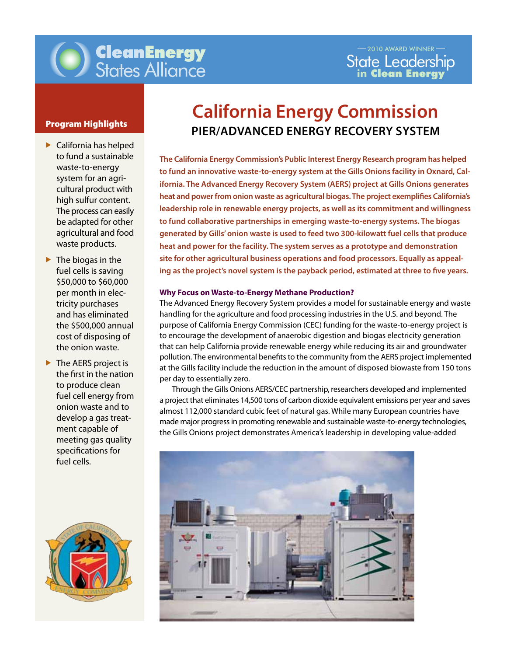

- California has helped to fund a sustainable waste-to-energy system for an agricultural product with high sulfur content. The process can easily be adapted for other agricultural and food waste products.
- $\blacktriangleright$  The biogas in the fuel cells is saving \$50,000 to \$60,000 per month in electricity purchases and has eliminated the \$500,000 annual cost of disposing of the onion waste.
- $\blacktriangleright$  The AERS project is the first in the nation to produce clean fuel cell energy from onion waste and to develop a gas treatment capable of meeting gas quality specifications for fuel cells.



# **California Energy Commission Program Highlights PIER/ADVANCED ENERGY RECOVERY SYSTEM**

ing as the project's novel system is the payback period, estimated at three to five years. <br> **The California Energy Commission's Public Interest Energy Research program has helped to fund an innovative waste-to-energy system at the Gills Onions facility in Oxnard, California. The Advanced Energy Recovery System (AERS) project at Gills Onions generates heat and power from onion waste as agricultural biogas. The project exemplifies California's leadership role in renewable energy projects, as well as its commitment and willingness to fund collaborative partnerships in emerging waste-to-energy systems. The biogas generated by Gills' onion waste is used to feed two 300-kilowatt fuel cells that produce heat and power for the facility. The system serves as a prototype and demonstration site for other agricultural business operations and food processors. Equally as appeal-**

#### **Why Focus on Waste-to-Energy Methane Production?**

The Advanced Energy Recovery System provides a model for sustainable energy and waste handling for the agriculture and food processing industries in the U.S. and beyond. The purpose of California Energy Commission (CEC) funding for the waste-to-energy project is to encourage the development of anaerobic digestion and biogas electricity generation that can help California provide renewable energy while reducing its air and groundwater pollution. The environmental benefits to the community from the AERS project implemented at the Gills facility include the reduction in the amount of disposed biowaste from 150 tons per day to essentially zero.

Through the Gills Onions AERS/CEC partnership, researchers developed and implemented a project that eliminates 14,500 tons of carbon dioxide equivalent emissions per year and saves almost 112,000 standard cubic feet of natural gas. While many European countries have made major progressin promoting renewable and sustainable waste-to-energy technologies, the Gills Onions project demonstrates America's leadership in developing value-added